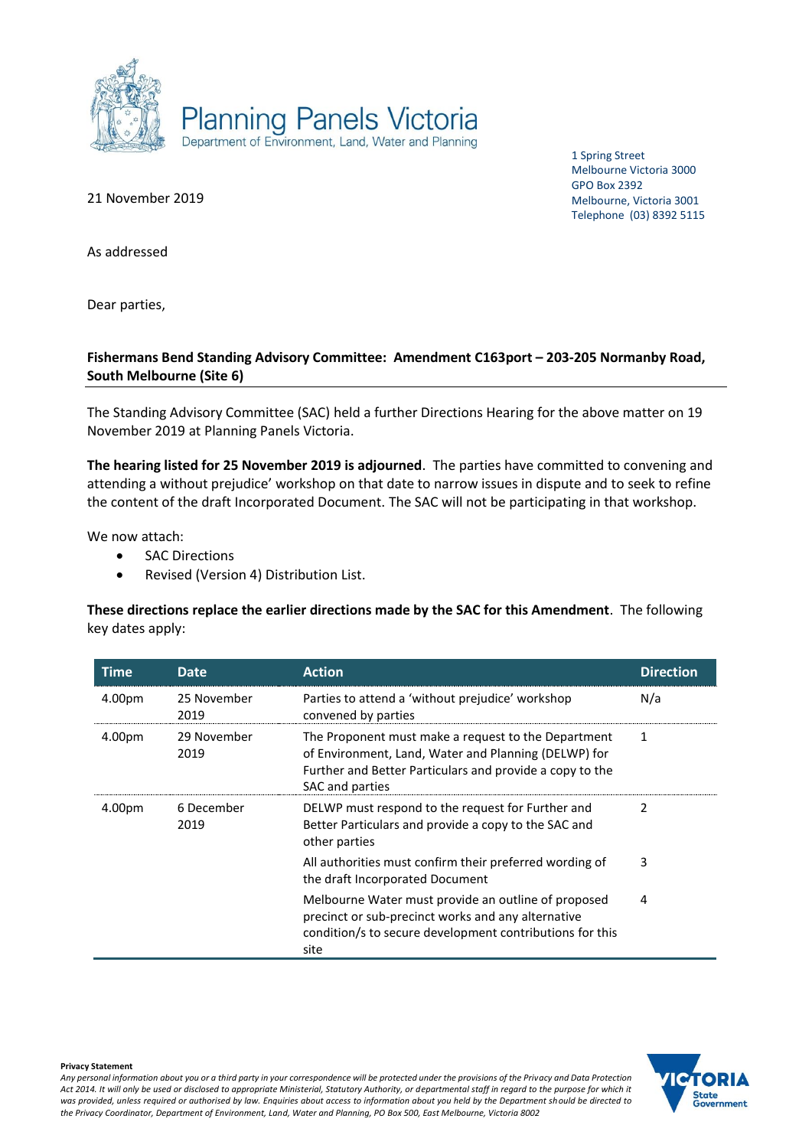

21 November 2019

1 Spring Street Melbourne Victoria 3000 GPO Box 2392 Melbourne, Victoria 3001 Telephone (03) 8392 5115

As addressed

Dear parties,

# **Fishermans Bend Standing Advisory Committee: Amendment C163port – 203-205 Normanby Road, South Melbourne (Site 6)**

The Standing Advisory Committee (SAC) held a further Directions Hearing for the above matter on 19 November 2019 at Planning Panels Victoria.

**The hearing listed for 25 November 2019 is adjourned**. The parties have committed to convening and attending a without prejudice' workshop on that date to narrow issues in dispute and to seek to refine the content of the draft Incorporated Document. The SAC will not be participating in that workshop.

We now attach:

- SAC Directions
- Revised (Version 4) Distribution List.

**These directions replace the earlier directions made by the SAC for this Amendment**. The following key dates apply:

| Time   | <b>Date</b>         | <b>Action</b>                                                                                                                                                                              | <b>Direction</b> |
|--------|---------------------|--------------------------------------------------------------------------------------------------------------------------------------------------------------------------------------------|------------------|
| 4.00pm | 25 November<br>2019 | Parties to attend a 'without prejudice' workshop<br>convened by parties                                                                                                                    | N/a              |
| 4.00pm | 29 November<br>2019 | The Proponent must make a request to the Department<br>of Environment, Land, Water and Planning (DELWP) for<br>Further and Better Particulars and provide a copy to the<br>SAC and parties | 1                |
| 4.00pm | 6 December<br>2019  | DELWP must respond to the request for Further and<br>Better Particulars and provide a copy to the SAC and<br>other parties                                                                 | 2                |
|        |                     | All authorities must confirm their preferred wording of<br>the draft Incorporated Document                                                                                                 | 3                |
|        |                     | Melbourne Water must provide an outline of proposed<br>precinct or sub-precinct works and any alternative<br>condition/s to secure development contributions for this<br>site              | 4                |

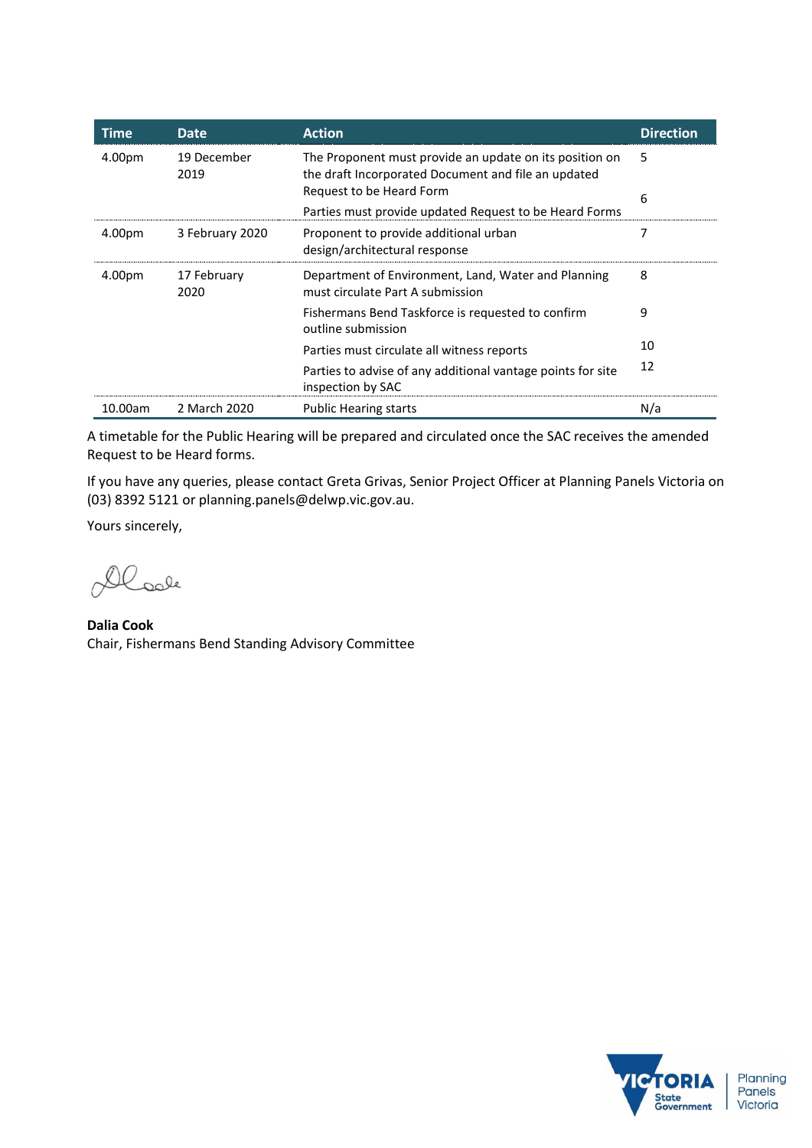| Time    | <b>Date</b>         | <b>Action</b>                                                                                                  | <b>Direction</b> |
|---------|---------------------|----------------------------------------------------------------------------------------------------------------|------------------|
| 4.00pm  | 19 December<br>2019 | The Proponent must provide an update on its position on<br>the draft Incorporated Document and file an updated | 5                |
|         |                     | Request to be Heard Form<br>Parties must provide updated Request to be Heard Forms                             | 6                |
| 4.00pm  | 3 February 2020     | Proponent to provide additional urban<br>design/architectural response                                         | 7                |
| 4.00pm  | 17 February<br>2020 | Department of Environment, Land, Water and Planning<br>must circulate Part A submission                        | 8                |
|         |                     | Fishermans Bend Taskforce is requested to confirm<br>outline submission                                        | 9                |
|         |                     | Parties must circulate all witness reports                                                                     | 10               |
|         |                     | Parties to advise of any additional vantage points for site<br>inspection by SAC                               | 12               |
| 10.00am | 2 March 2020        | <b>Public Hearing starts</b>                                                                                   | N/a              |

A timetable for the Public Hearing will be prepared and circulated once the SAC receives the amended Request to be Heard forms.

If you have any queries, please contact Greta Grivas, Senior Project Officer at Planning Panels Victoria on (03) 8392 5121 or planning.panels@delwp.vic.gov.au.

Yours sincerely,

Dlook

**Dalia Cook** Chair, Fishermans Bend Standing Advisory Committee

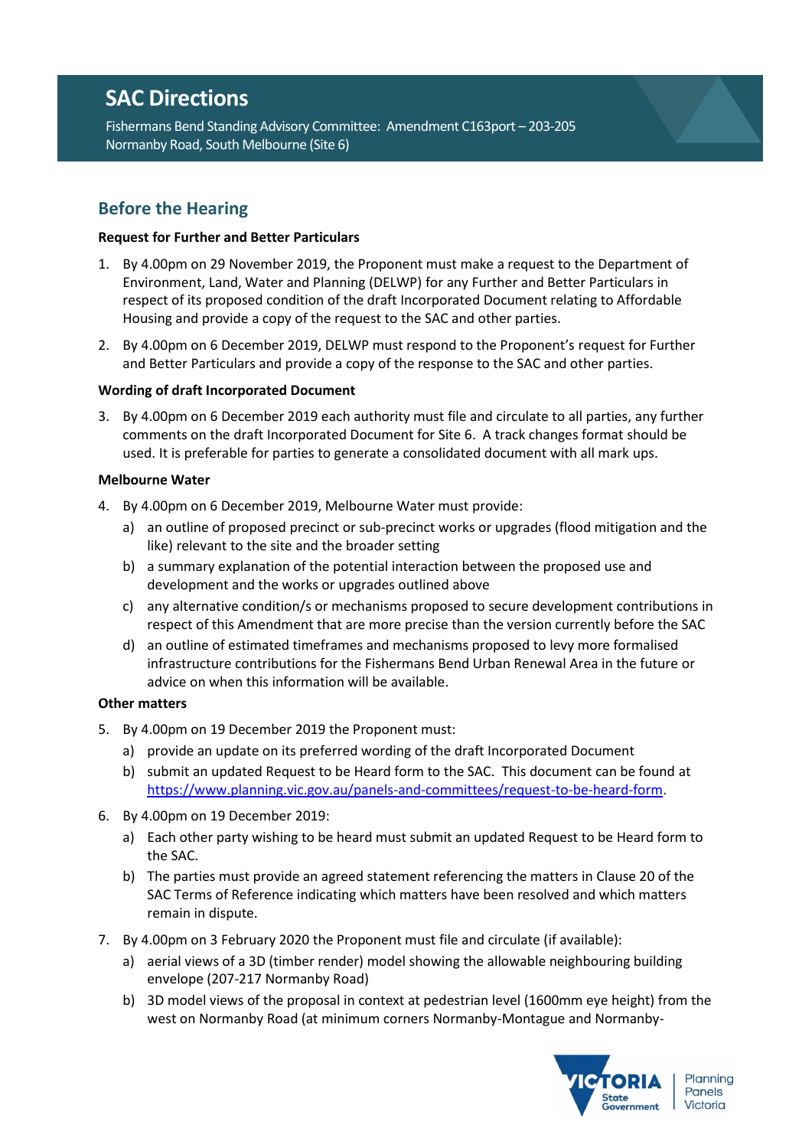# **SAC Directions**

Fishermans Bend Standing Advisory Committee: Amendment C163port – 203-205 Normanby Road, South Melbourne (Site 6)

# **Before the Hearing**

## **Request for Further and Better Particulars**

- 1. By 4.00pm on 29 November 2019, the Proponent must make a request to the Department of Environment, Land, Water and Planning (DELWP) for any Further and Better Particulars in respect of its proposed condition of the draft Incorporated Document relating to Affordable Housing and provide a copy of the request to the SAC and other parties.
- 2. By 4.00pm on 6 December 2019, DELWP must respond to the Proponent's request for Further and Better Particulars and provide a copy of the response to the SAC and other parties.

## **Wording of draft Incorporated Document**

3. By 4.00pm on 6 December 2019 each authority must file and circulate to all parties, any further comments on the draft Incorporated Document for Site 6. A track changes format should be used. It is preferable for parties to generate a consolidated document with all mark ups.

#### **Melbourne Water**

- 4. By 4.00pm on 6 December 2019, Melbourne Water must provide:
	- a) an outline of proposed precinct or sub-precinct works or upgrades (flood mitigation and the like) relevant to the site and the broader setting
	- b) a summary explanation of the potential interaction between the proposed use and development and the works or upgrades outlined above
	- c) any alternative condition/s or mechanisms proposed to secure development contributions in respect of this Amendment that are more precise than the version currently before the SAC
	- d) an outline of estimated timeframes and mechanisms proposed to levy more formalised infrastructure contributions for the Fishermans Bend Urban Renewal Area in the future or advice on when this information will be available.

# **Other matters**

- 5. By 4.00pm on 19 December 2019 the Proponent must:
	- a) provide an update on its preferred wording of the draft Incorporated Document
	- b) submit an updated Request to be Heard form to the SAC. This document can be found at [https://www.planning.vic.gov.au/panels-and-committees/request-to-be-heard-form.](https://www.planning.vic.gov.au/panels-and-committees/request-to-be-heard-form)
- 6. By 4.00pm on 19 December 2019:
	- a) Each other party wishing to be heard must submit an updated Request to be Heard form to the SAC.
	- b) The parties must provide an agreed statement referencing the matters in Clause 20 of the SAC Terms of Reference indicating which matters have been resolved and which matters remain in dispute.
- 7. By 4.00pm on 3 February 2020 the Proponent must file and circulate (if available):
	- a) aerial views of a 3D (timber render) model showing the allowable neighbouring building envelope (207-217 Normanby Road)
	- b) 3D model views of the proposal in context at pedestrian level (1600mm eye height) from the west on Normanby Road (at minimum corners Normanby-Montague and Normanby-

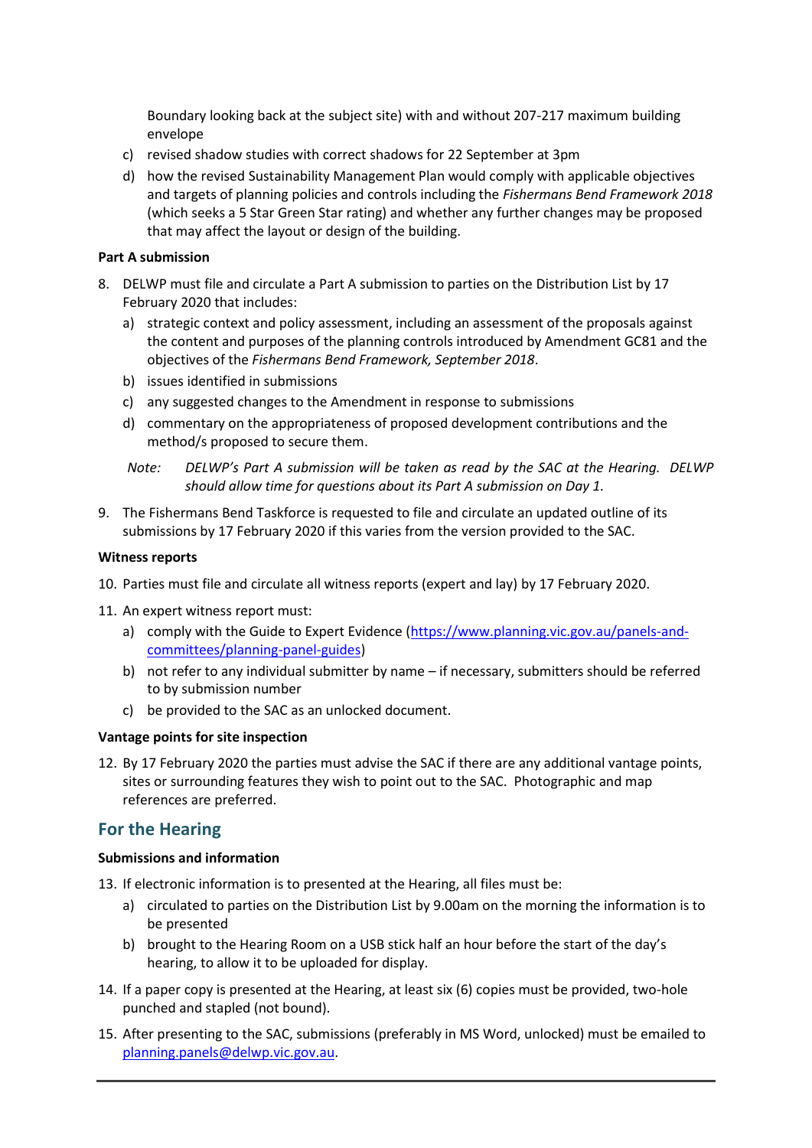Boundary looking back at the subject site) with and without 207-217 maximum building envelope

- c) revised shadow studies with correct shadows for 22 September at 3pm
- d) how the revised Sustainability Management Plan would comply with applicable objectives and targets of planning policies and controls including the *Fishermans Bend Framework 2018* (which seeks a 5 Star Green Star rating) and whether any further changes may be proposed that may affect the layout or design of the building.

#### **Part A submission**

- 8. DELWP must file and circulate a Part A submission to parties on the Distribution List by 17 February 2020 that includes:
	- a) strategic context and policy assessment, including an assessment of the proposals against the content and purposes of the planning controls introduced by Amendment GC81 and the objectives of the *Fishermans Bend Framework, September 2018*.
	- b) issues identified in submissions
	- c) any suggested changes to the Amendment in response to submissions
	- d) commentary on the appropriateness of proposed development contributions and the method/s proposed to secure them.

9. The Fishermans Bend Taskforce is requested to file and circulate an updated outline of its submissions by 17 February 2020 if this varies from the version provided to the SAC.

#### **Witness reports**

- 10. Parties must file and circulate all witness reports (expert and lay) by 17 February 2020.
- 11. An expert witness report must:
	- a) comply with the Guide to Expert Evidence [\(https://www.planning.vic.gov.au/panels-and](https://www.planning.vic.gov.au/panels-and-committees/planning-panel-guides)[committees/planning-panel-guides\)](https://www.planning.vic.gov.au/panels-and-committees/planning-panel-guides)
	- b) not refer to any individual submitter by name if necessary, submitters should be referred to by submission number
	- c) be provided to the SAC as an unlocked document.

#### **Vantage points for site inspection**

12. By 17 February 2020 the parties must advise the SAC if there are any additional vantage points, sites or surrounding features they wish to point out to the SAC. Photographic and map references are preferred.

# **For the Hearing**

#### **Submissions and information**

- 13. If electronic information is to presented at the Hearing, all files must be:
	- a) circulated to parties on the Distribution List by 9.00am on the morning the information is to be presented
	- b) brought to the Hearing Room on a USB stick half an hour before the start of the day's hearing, to allow it to be uploaded for display.
- 14. If a paper copy is presented at the Hearing, at least six (6) copies must be provided, two-hole punched and stapled (not bound).
- 15. After presenting to the SAC, submissions (preferably in MS Word, unlocked) must be emailed to [planning.panels@delwp.vic.gov.au.](mailto:planning.panels@delwp.vic.gov.au)

*Note: DELWP's Part A submission will be taken as read by the SAC at the Hearing. DELWP should allow time for questions about its Part A submission on Day 1.*